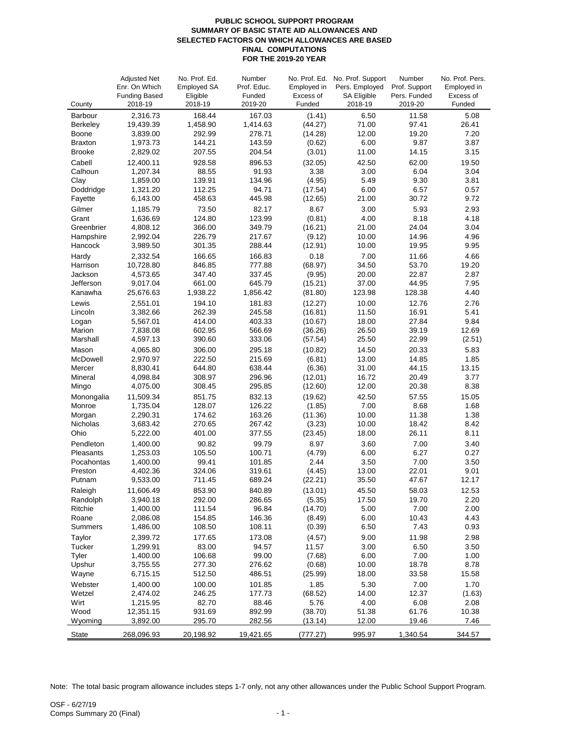## **PUBLIC SCHOOL SUPPORT PROGRAM SUMMARY OF BASIC STATE AID ALLOWANCES AND SELECTED FACTORS ON WHICH ALLOWANCES ARE BASED FINAL COMPUTATIONS FOR THE 2019-20 YEAR**

OSF - 6/27/19 Comps Summary 20 (Final)  $-1$  -

|                         | <b>Adjusted Net</b>                   | No. Prof. Ed.                  | Number                | No. Prof. Ed.            | No. Prof. Support                    | Number                        | No. Prof. Pers.          |
|-------------------------|---------------------------------------|--------------------------------|-----------------------|--------------------------|--------------------------------------|-------------------------------|--------------------------|
|                         | Enr. On Which<br><b>Funding Based</b> | <b>Employed SA</b><br>Eligible | Prof. Educ.<br>Funded | Employed in<br>Excess of | Pers. Employed<br><b>SA Eligible</b> | Prof. Support<br>Pers. Funded | Employed in<br>Excess of |
| County                  | 2018-19                               | 2018-19                        | 2019-20               | Funded                   | 2018-19                              | 2019-20                       | Funded                   |
| <b>Barbour</b>          | 2,316.73                              | 168.44                         | 167.03                | (1.41)                   | 6.50                                 | 11.58                         | 5.08                     |
| <b>Berkeley</b>         | 19,439.39                             | 1,458.90                       | 1,414.63              | (44.27)                  | 71.00                                | 97.41                         | 26.41                    |
| <b>Boone</b>            | 3,839.00                              | 292.99                         | 278.71                | (14.28)                  | 12.00                                | 19.20                         | 7.20                     |
| <b>Braxton</b>          | 1,973.73                              | 144.21                         | 143.59                | (0.62)                   | 6.00                                 | 9.87                          | 3.87                     |
| <b>Brooke</b>           | 2,829.02                              | 207.55                         | 204.54                | (3.01)                   | 11.00                                | 14.15                         | 3.15                     |
| Cabell                  | 12,400.11                             | 928.58                         | 896.53                | (32.05)                  | 42.50                                | 62.00                         | 19.50                    |
| Calhoun                 | 1,207.34<br>1,859.00                  | 88.55<br>139.91                | 91.93<br>134.96       | 3.38                     | 3.00<br>5.49                         | 6.04<br>9.30                  | 3.04<br>3.81             |
| Clay<br>Doddridge       | 1,321.20                              | 112.25                         | 94.71                 | (4.95)<br>(17.54)        | 6.00                                 | 6.57                          | 0.57                     |
| Fayette                 | 6,143.00                              | 458.63                         | 445.98                | (12.65)                  | 21.00                                | 30.72                         | 9.72                     |
| Gilmer                  | 1,185.79                              | 73.50                          | 82.17                 | 8.67                     | 3.00                                 | 5.93                          | 2.93                     |
| Grant                   | 1,636.69                              | 124.80                         | 123.99                | (0.81)                   | 4.00                                 | 8.18                          | 4.18                     |
| Greenbrier              | 4,808.12                              | 366.00                         | 349.79                | (16.21)                  | 21.00                                | 24.04                         | 3.04                     |
| Hampshire               | 2,992.04                              | 226.79                         | 217.67                | (9.12)                   | 10.00                                | 14.96                         | 4.96                     |
| Hancock                 | 3,989.50                              | 301.35                         | 288.44                | (12.91)                  | 10.00                                | 19.95                         | 9.95                     |
| Hardy                   | 2,332.54                              | 166.65                         | 166.83                | 0.18                     | 7.00                                 | 11.66                         | 4.66                     |
| Harrison                | 10,728.80                             | 846.85                         | 777.88                | (68.97)                  | 34.50                                | 53.70                         | 19.20                    |
| Jackson                 | 4,573.65                              | 347.40                         | 337.45                | (9.95)                   | 20.00                                | 22.87                         | 2.87                     |
| Jefferson<br>Kanawha    | 9,017.04<br>25,676.63                 | 661.00<br>1,938.22             | 645.79<br>1,856.42    | (15.21)<br>(81.80)       | 37.00<br>123.98                      | 44.95<br>128.38               | 7.95<br>4.40             |
|                         |                                       |                                |                       |                          |                                      |                               |                          |
| Lewis<br>Lincoln        | 2,551.01<br>3,382.66                  | 194.10<br>262.39               | 181.83<br>245.58      | (12.27)<br>(16.81)       | 10.00<br>11.50                       | 12.76<br>16.91                | 2.76<br>5.41             |
| Logan                   | 5,567.01                              | 414.00                         | 403.33                | (10.67)                  | 18.00                                | 27.84                         | 9.84                     |
| <b>Marion</b>           | 7,838.08                              | 602.95                         | 566.69                | (36.26)                  | 26.50                                | 39.19                         | 12.69                    |
| Marshall                | 4,597.13                              | 390.60                         | 333.06                | (57.54)                  | 25.50                                | 22.99                         | (2.51)                   |
| Mason                   | 4,065.80                              | 306.00                         | 295.18                | (10.82)                  | 14.50                                | 20.33                         | 5.83                     |
| McDowell                | 2,970.97                              | 222.50                         | 215.69                | (6.81)                   | 13.00                                | 14.85                         | 1.85                     |
| Mercer                  | 8,830.41                              | 644.80                         | 638.44                | (6.36)                   | 31.00                                | 44.15                         | 13.15                    |
| Mineral                 | 4,098.84                              | 308.97                         | 296.96                | (12.01)                  | 16.72                                | 20.49                         | 3.77                     |
| Mingo                   | 4,075.00                              | 308.45                         | 295.85                | (12.60)                  | 12.00                                | 20.38                         | 8.38                     |
| Monongalia              | 11,509.34                             | 851.75                         | 832.13                | (19.62)                  | 42.50                                | 57.55                         | 15.05                    |
| Monroe                  | 1,735.04                              | 128.07                         | 126.22                | (1.85)                   | 7.00                                 | 8.68                          | 1.68                     |
| Morgan                  | 2,290.31                              | 174.62                         | 163.26                | (11.36)                  | 10.00                                | 11.38                         | 1.38                     |
| <b>Nicholas</b><br>Ohio | 3,683.42<br>5,222.00                  | 270.65<br>401.00               | 267.42<br>377.55      | (3.23)<br>(23.45)        | 10.00<br>18.00                       | 18.42<br>26.11                | 8.42<br>8.11             |
| Pendleton               | 1,400.00                              | 90.82                          | 99.79                 | 8.97                     | 3.60                                 | 7.00                          | 3.40                     |
| <b>Pleasants</b>        | 1,253.03                              | 105.50                         | 100.71                | (4.79)                   | 6.00                                 | 6.27                          | 0.27                     |
| Pocahontas              | 1,400.00                              | 99.41                          | 101.85                | 2.44                     | 3.50                                 | 7.00                          | 3.50                     |
| Preston                 | 4,402.36                              | 324.06                         | 319.61                | (4.45)                   | 13.00                                | 22.01                         | 9.01                     |
| Putnam                  | 9,533.00                              | 711.45                         | 689.24                | (22.21)                  | 35.50                                | 47.67                         | 12.17                    |
| Raleigh                 | 11,606.49                             | 853.90                         | 840.89                | (13.01)                  | 45.50                                | 58.03                         | 12.53                    |
| Randolph                | 3,940.18                              | 292.00                         | 286.65                | (5.35)                   | 17.50                                | 19.70                         | 2.20                     |
| <b>Ritchie</b>          | 1,400.00                              | 111.54                         | 96.84                 | (14.70)                  | 5.00                                 | 7.00                          | 2.00                     |
| Roane                   | 2,086.08                              | 154.85                         | 146.36                | (8.49)                   | 6.00                                 | 10.43                         | 4.43                     |
| <b>Summers</b>          | 1,486.00                              | 108.50                         | 108.11                | (0.39)                   | 6.50                                 | 7.43                          | 0.93                     |
| Taylor                  | 2,399.72                              | 177.65                         | 173.08                | (4.57)                   | 9.00                                 | 11.98                         | 2.98                     |
| <b>Tucker</b>           | 1,299.91                              | 83.00                          | 94.57                 | 11.57                    | 3.00                                 | 6.50                          | 3.50                     |
| <b>Tyler</b><br>Upshur  | 1,400.00<br>3,755.55                  | 106.68<br>277.30               | 99.00<br>276.62       | (7.68)<br>(0.68)         | 6.00<br>10.00                        | 7.00<br>18.78                 | 1.00<br>8.78             |
| Wayne                   | 6,715.15                              | 512.50                         | 486.51                | (25.99)                  | 18.00                                | 33.58                         | 15.58                    |
| Webster                 | 1,400.00                              | 100.00                         | 101.85                | 1.85                     | 5.30                                 | 7.00                          | 1.70                     |
| Wetzel                  | 2,474.02                              | 246.25                         | 177.73                | (68.52)                  | 14.00                                | 12.37                         | (1.63)                   |
| Wirt                    | 1,215.95                              | 82.70                          | 88.46                 | 5.76                     | 4.00                                 | 6.08                          | 2.08                     |
| Wood                    | 12,351.15                             | 931.69                         | 892.99                | (38.70)                  | 51.38                                | 61.76                         | 10.38                    |
| Wyoming                 | 3,892.00                              | 295.70                         | 282.56                | (13.14)                  | 12.00                                | 19.46                         | 7.46                     |
| <b>State</b>            | 268,096.93                            | 20,198.92                      | 19,421.65             | (777.27)                 | 995.97                               | 1,340.54                      | 344.57                   |

Note: The total basic program allowance includes steps 1-7 only, not any other allowances under the Public School Support Program.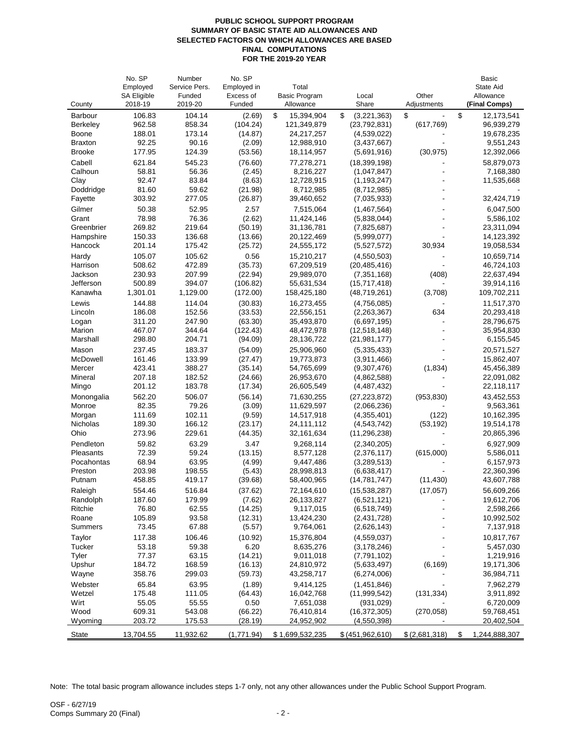## **PUBLIC SCHOOL SUPPORT PROGRAM SUMMARY OF BASIC STATE AID ALLOWANCES AND SELECTED FACTORS ON WHICH ALLOWANCES ARE BASED FINAL COMPUTATIONS FOR THE 2019-20 YEAR**

OSF - 6/27/19 Comps Summary 20 (Final)  $-2$  -

|                               | No. SP                        | Number            | No. SP              |                                   |                              |                      | <b>Basic</b>               |
|-------------------------------|-------------------------------|-------------------|---------------------|-----------------------------------|------------------------------|----------------------|----------------------------|
|                               | Employed                      | Service Pers.     | Employed in         | Total                             |                              |                      | <b>State Aid</b>           |
| County                        | <b>SA Eligible</b><br>2018-19 | Funded<br>2019-20 | Excess of<br>Funded | <b>Basic Program</b><br>Allowance | Local<br>Share               | Other<br>Adjustments | Allowance<br>(Final Comps) |
| <b>Barbour</b>                | 106.83                        | 104.14            | (2.69)              | $\mathfrak{S}$<br>15,394,904      | \$<br>(3,221,363)            | \$                   | \$<br>12,173,541           |
| <b>Berkeley</b>               | 962.58                        | 858.34            | (104.24)            | 121,349,879                       | (23, 792, 831)               | (617, 769)           | 96,939,279                 |
| <b>Boone</b>                  | 188.01                        | 173.14            | (14.87)             | 24,217,257                        | (4,539,022)                  |                      | 19,678,235                 |
| <b>Braxton</b>                | 92.25                         | 90.16             | (2.09)              | 12,988,910                        | (3,437,667)                  |                      | 9,551,243                  |
| <b>Brooke</b>                 | 177.95                        | 124.39            | (53.56)             | 18,114,957                        | (5,691,916)                  | (30, 975)            | 12,392,066                 |
| Cabell                        | 621.84                        | 545.23            | (76.60)             | 77,278,271                        | (18, 399, 198)               |                      | 58,879,073                 |
| Calhoun                       | 58.81                         | 56.36             | (2.45)              | 8,216,227                         | (1,047,847)                  |                      | 7,168,380                  |
| Clay                          | 92.47                         | 83.84             | (8.63)              | 12,728,915                        | (1, 193, 247)                |                      | 11,535,668                 |
| Doddridge                     | 81.60                         | 59.62             | (21.98)             | 8,712,985                         | (8,712,985)                  |                      |                            |
| Fayette                       | 303.92                        | 277.05            | (26.87)             | 39,460,652                        | (7,035,933)                  |                      | 32,424,719                 |
| Gilmer                        | 50.38                         | 52.95             | 2.57                | 7,515,064                         | (1,467,564)                  |                      | 6,047,500                  |
| Grant                         | 78.98                         | 76.36             | (2.62)              | 11,424,146                        | (5,838,044)                  |                      | 5,586,102                  |
| Greenbrier                    | 269.82                        | 219.64            | (50.19)             | 31,136,781                        | (7,825,687)                  |                      | 23,311,094                 |
| Hampshire                     | 150.33                        | 136.68            | (13.66)             | 20,122,469                        | (5,999,077)                  |                      | 14,123,392                 |
| Hancock                       | 201.14                        | 175.42            | (25.72)             | 24,555,172                        | (5,527,572)                  | 30,934               | 19,058,534                 |
| Hardy                         | 105.07                        | 105.62            | 0.56                | 15,210,217                        | (4,550,503)                  |                      | 10,659,714                 |
| Harrison                      | 508.62                        | 472.89            | (35.73)             | 67,209,519                        | (20, 485, 416)               |                      | 46,724,103                 |
| Jackson                       | 230.93                        | 207.99            | (22.94)             | 29,989,070                        | (7, 351, 168)                | (408)                | 22,637,494                 |
| Jefferson                     | 500.89                        | 394.07            | (106.82)            | 55,631,534                        | (15, 717, 418)               |                      | 39,914,116                 |
| Kanawha                       | 1,301.01                      | 1,129.00          | (172.00)            | 158,425,180                       | (48, 719, 261)               | (3,708)              | 109,702,211                |
| Lewis                         | 144.88                        | 114.04            | (30.83)             | 16,273,455                        | (4,756,085)                  |                      | 11,517,370                 |
| Lincoln                       | 186.08                        | 152.56            | (33.53)             | 22,556,151                        | (2,263,367)                  | 634                  | 20,293,418                 |
| Logan                         | 311.20                        | 247.90            | (63.30)             | 35,493,870                        | (6,697,195)                  |                      | 28,796,675                 |
| <b>Marion</b>                 | 467.07                        | 344.64            | (122.43)            | 48,472,978                        | (12, 518, 148)               |                      | 35,954,830                 |
| Marshall                      | 298.80                        | 204.71            | (94.09)             | 28,136,722                        | (21, 981, 177)               |                      | 6,155,545                  |
| Mason                         | 237.45                        | 183.37            | (54.09)             | 25,906,960                        | (5,335,433)                  |                      | 20,571,527                 |
| <b>McDowell</b>               | 161.46                        | 133.99            | (27.47)             | 19,773,873                        | (3,911,466)                  |                      | 15,862,407                 |
| Mercer                        | 423.41                        | 388.27            | (35.14)             | 54,765,699                        | (9,307,476)                  | (1,834)              | 45,456,389                 |
| <b>Mineral</b>                | 207.18                        | 182.52            | (24.66)             | 26,953,670                        | (4,862,588)                  |                      | 22,091,082                 |
| Mingo                         | 201.12                        | 183.78            | (17.34)             | 26,605,549                        | (4,487,432)                  |                      | 22,118,117                 |
| Monongalia                    | 562.20                        | 506.07            | (56.14)             | 71,630,255                        | (27, 223, 872)               | (953, 830)           | 43,452,553                 |
| Monroe                        | 82.35                         | 79.26             | (3.09)              | 11,629,597                        | (2,066,236)                  |                      | 9,563,361                  |
| Morgan<br><b>Nicholas</b>     | 111.69<br>189.30              | 102.11<br>166.12  | (9.59)<br>(23.17)   | 14,517,918<br>24,111,112          | (4,355,401)<br>(4, 543, 742) | (122)<br>(53, 192)   | 10,162,395<br>19,514,178   |
| Ohio                          | 273.96                        | 229.61            | (44.35)             | 32, 161, 634                      | (11, 296, 238)               |                      | 20,865,396                 |
|                               |                               |                   | 3.47                |                                   |                              |                      |                            |
| Pendleton<br><b>Pleasants</b> | 59.82<br>72.39                | 63.29<br>59.24    | (13.15)             | 9,268,114<br>8,577,128            | (2,340,205)<br>(2,376,117)   | (615,000)            | 6,927,909<br>5,586,011     |
| Pocahontas                    | 68.94                         | 63.95             | (4.99)              | 9,447,486                         | (3,289,513)                  |                      | 6,157,973                  |
| Preston                       | 203.98                        | 198.55            | (5.43)              | 28,998,813                        | (6,638,417)                  |                      | 22,360,396                 |
| Putnam                        | 458.85                        | 419.17            | (39.68)             | 58,400,965                        | (14, 781, 747)               | (11, 430)            | 43,607,788                 |
| Raleigh                       | 554.46                        | 516.84            | (37.62)             | 72,164,610                        | (15,538,287)                 | (17,057)             | 56,609,266                 |
| Randolph                      | 187.60                        | 179.99            | (7.62)              | 26,133,827                        | (6,521,121)                  |                      | 19,612,706                 |
| Ritchie                       | 76.80                         | 62.55             | (14.25)             | 9,117,015                         | (6,518,749)                  |                      | 2,598,266                  |
| Roane                         | 105.89                        | 93.58             | (12.31)             | 13,424,230                        | (2,431,728)                  |                      | 10,992,502                 |
| <b>Summers</b>                | 73.45                         | 67.88             | (5.57)              | 9,764,061                         | (2,626,143)                  |                      | 7,137,918                  |
| Taylor                        | 117.38                        | 106.46            | (10.92)             | 15,376,804                        | (4,559,037)                  |                      | 10,817,767                 |
| <b>Tucker</b>                 | 53.18                         | 59.38             | 6.20                | 8,635,276                         | (3, 178, 246)                |                      | 5,457,030                  |
| <b>Tyler</b>                  | 77.37                         | 63.15             | (14.21)             | 9,011,018                         | (7,791,102)                  |                      | 1,219,916                  |
| Upshur                        | 184.72                        | 168.59            | (16.13)             | 24,810,972                        | (5,633,497)                  | (6, 169)             | 19,171,306                 |
| Wayne                         | 358.76                        | 299.03            | (59.73)             | 43,258,717                        | (6,274,006)                  |                      | 36,984,711                 |
| Webster                       | 65.84                         | 63.95             | (1.89)              | 9,414,125                         | (1,451,846)                  |                      | 7,962,279                  |
| Wetzel                        | 175.48                        | 111.05            | (64.43)             | 16,042,768                        | (11,999,542)                 | (131, 334)           | 3,911,892                  |
| Wirt                          | 55.05                         | 55.55             | 0.50                | 7,651,038                         | (931, 029)                   |                      | 6,720,009                  |
| Wood                          | 609.31                        | 543.08            | (66.22)             | 76,410,814                        | (16, 372, 305)               | (270,058)            | 59,768,451                 |
| Wyoming                       | 203.72                        | 175.53            | (28.19)             | 24,952,902                        | (4,550,398)                  |                      | 20,402,504                 |
| <b>State</b>                  | 13,704.55                     | 11,932.62         | (1,771.94)          | \$1,699,532,235                   | \$ (451, 962, 610)           | \$ (2,681,318)       | \$<br>1,244,888,307        |

Note: The total basic program allowance includes steps 1-7 only, not any other allowances under the Public School Support Program.